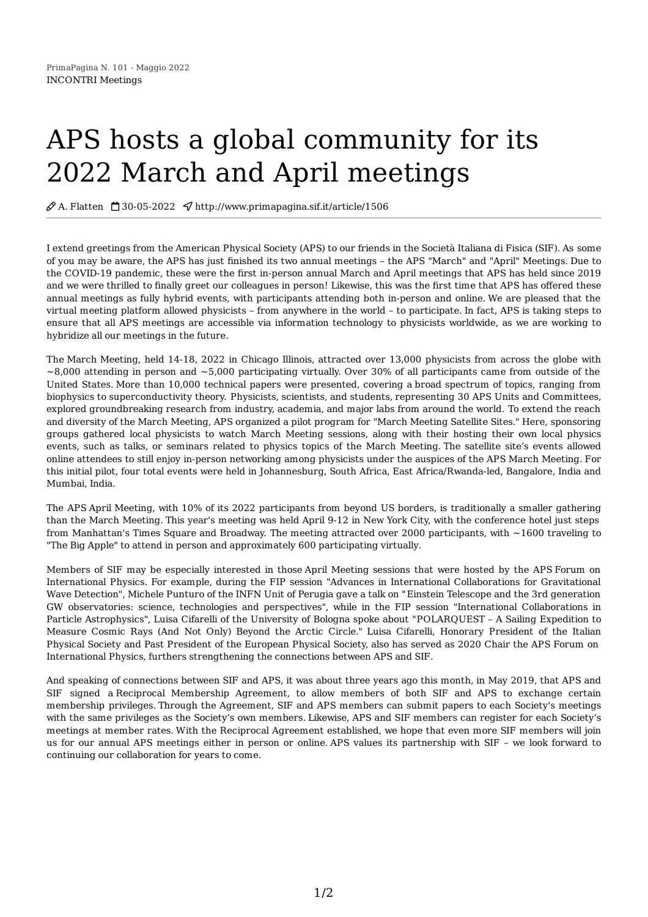## APS hosts a global community for its 2022 March and April meetings

 $\mathcal{O}$  A. Flatten  $\Box$  30-05-2022  $\Diamond$  http://www.primapagina.sif.it/article/1506

I extend greetings from the American Physical Society (APS) to our friends in the Società Italiana di Fisica (SIF). As some of you may be aware, the APS has just finished its two annual meetings – the APS "March" and "April" Meetings. Due to the COVID-19 pandemic, these were the first in-person annual March and April meetings that APS has held since 2019 and we were thrilled to finally greet our colleagues in person! Likewise, this was the first time that APS has offered these annual meetings as fully hybrid events, with participants attending both in-person and online. We are pleased that the virtual meeting platform allowed physicists – from anywhere in the world – to participate. In fact, APS is taking steps to ensure that all APS meetings are accessible via information technology to physicists worldwide, as we are working to hybridize all our meetings in the future.

The March [Meeting](https://march.aps.org/), held 14-18, 2022 in Chicago Illinois, attracted over 13,000 physicists from across the globe with  $\sim$ 8,000 attending in person and  $\sim$ 5,000 participating virtually. Over 30% of all participants came from outside of the United States. More than 10,000 technical papers were presented, covering a broad [spectrum](https://march.aps.org/about) of topics, ranging from biophysics to superconductivity theory. Physicists, scientists, and students, [representing](https://march.aps.org/units) 30 APS Units and Committees, explored groundbreaking research from industry, academia, and major labs from around the world. To extend the reach and diversity of the March Meeting, APS organized a pilot program for "March Meeting Satellite Sites." Here, sponsoring groups gathered local physicists to watch March Meeting sessions, along with their hosting their own local physics events, such as talks, or seminars related to physics topics of the March Meeting. The satellite site's events allowed online attendees to still enjoy in-person networking among physicists under the auspices of the APS March Meeting. For this initial pilot, four total events were held in Johannesburg, South Africa, East Africa/Rwanda-led, Bangalore, India and Mumbai, India.

The APS April [Meeting](https://april.aps.org), with 10% of its 2022 participants from beyond US borders, is traditionally a smaller gathering than the March Meeting. This year's meeting was held April 9-12 in New York City, with the conference hotel just steps from Manhattan's Times Square and Broadway. The meeting attracted over 2000 participants, with ~1600 traveling to "The Big Apple" to attend in person and approximately 600 participating virtually.

Members of SIF may be especially interested in those April [Meeting](https://meetings.aps.org/Meeting/APR22/SessionIndex2?SponsorID=FIP) sessions that were hosted by the APS Forum on International Physics. For example, during the FIP session "Advances in International [Collaborations](https://engage.aps.org/fip/home) for Gravitational Wave Detection", Michele Punturo of the INFN Unit of Perugia gave a talk on "Einstein Telescope and the 3rd generation GW observatories: science, technologies and perspectives", while in the FIP session "International [Collaborations](https://meetings.aps.org/Meeting/APR22/Session/G07) in Particle Astrophysics", Luisa Cifarelli of the University of Bologna spoke about ["POLARQUEST](https://meetings.aps.org/Meeting/APR22/Session/D05.1) – A Sailing Expedition to Measure Cosmic Rays (And Not Only) Beyond the Arctic Circle." Luisa Cifarelli, Honorary President of the Italian Physical Society and Past President of the European Physical Society, also has served as 2020 Chair the APS Forum on International Physics, furthers strengthening the connections between APS and SIF.

And speaking of connections between SIF and APS, it was about three years ago this month, in May 2019, that APS and SIF signed a Reciprocal [Membership](https://www.aps.org/membership/reciprocal/societies.cfm#europe) Agreement, to allow members of both SIF and APS to exchange certain membership privileges. Through the Agreement, SIF and APS members can submit papers to each Society's meetings with the same privileges as the Society's own members. Likewise, APS and SIF members can register for each Society's meetings at member rates. With the Reciprocal Agreement established, we hope that even more SIF members will join us for our annual APS meetings either in person or online. APS values its partnership with SIF – we look forward to continuing our collaboration for years to come.